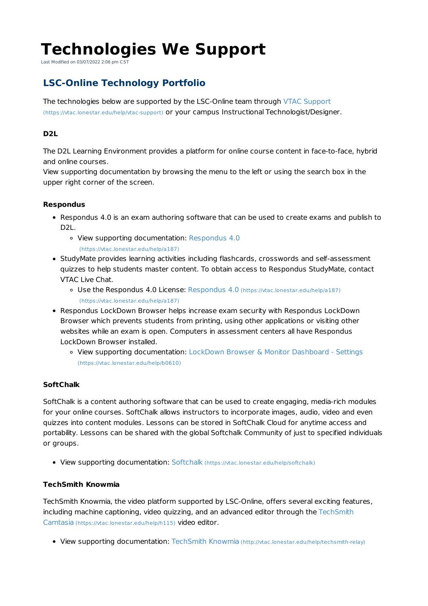# **Technologies We Support**

Last Modified on 03/07/2022 2:06 pm CST

# **LSC-Online Technology Portfolio**

The technologies below are supported by the LSC-Online team through VTAC Support (https://vtac.lonestar.edu/help/vtac-support) or your campus Instructional Technologist/Designer.

# **D2L**

The D2L Learning Environment provides a platform for online course content in face-to-face, hybrid and online courses.

View supporting documentation by browsing the menu to the left or using the search box in the upper right corner of the screen.

## **Respondus**

- Respondus 4.0 is an exam authoring software that can be used to create exams and publish to D2L.
	- View supporting documentation: Respondus 4.0 (https://vtac.lonestar.edu/help/a187)
- StudyMate provides learning activities including flashcards, crosswords and self-assessment quizzes to help students master content. To obtain access to Respondus StudyMate, contact VTAC Live Chat.
	- Use the Respondus 4.0 License: Respondus 4.0 (https://vtac.lonestar.edu/help/a187) (https://vtac.lonestar.edu/help/a187)
- Respondus LockDown Browser helps increase exam security with Respondus LockDown Browser which prevents students from printing, using other applications or visiting other websites while an exam is open. Computers in assessment centers all have Respondus LockDown Browser installed.
	- View supporting documentation: LockDown Browser & Monitor Dashboard Settings (https://vtac.lonestar.edu/help/b0610)

# **SoftChalk**

SoftChalk is a content authoring software that can be used to create engaging, media-rich modules for your online courses. SoftChalk allows instructors to incorporate images, audio, video and even quizzes into content modules. Lessons can be stored in SoftChalk Cloud for anytime access and portability. Lessons can be shared with the global Softchalk Community of just to specified individuals or groups.

View supporting documentation: Softchalk (https://vtac.lonestar.edu/help/softchalk)

## **TechSmith Knowmia**

TechSmith Knowmia, the video platform supported by LSC-Online, offers several exciting features, including machine captioning, video quizzing, and an advanced editor through the TechSmith Camtasia (https://vtac.lonestar.edu/help/h115) video editor.

• View supporting documentation: TechSmith Knowmia (http://vtac.lonestar.edu/help/techsmith-relay)